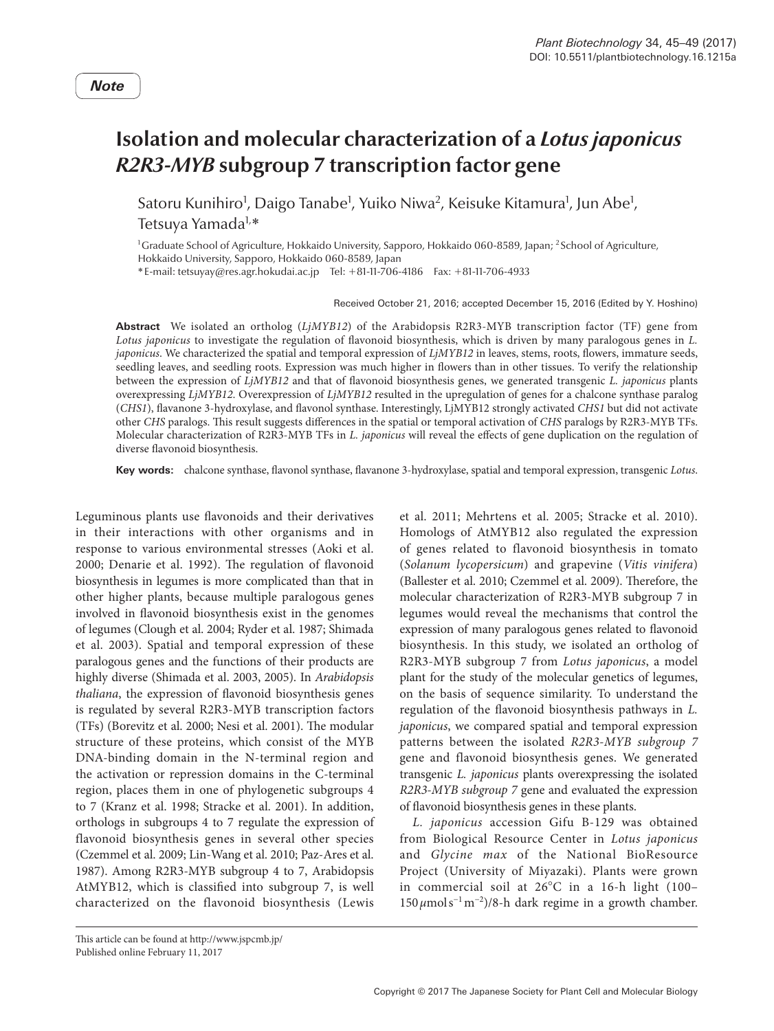## **Isolation and molecular characterization of a** *Lotus japonicus R2R3-MYB* **subgroup 7 transcription factor gene**

Satoru Kunihiro<sup>1</sup>, Daigo Tanabe<sup>1</sup>, Yuiko Niwa<sup>2</sup>, Keisuke Kitamura<sup>1</sup>, Jun Abe<sup>1</sup>, Tetsuya Yamada<sup>1,</sup>\*

<sup>1</sup>Graduate School of Agriculture, Hokkaido University, Sapporo, Hokkaido 060-8589, Japan; <sup>2</sup>School of Agriculture, Hokkaido University, Sapporo, Hokkaido 060-8589, Japan

\*E-mail: tetsuyay@res.agr.hokudai.ac.jp Tel: +81-11-706-4186 Fax: +81-11-706-4933

Received October 21, 2016; accepted December 15, 2016 (Edited by Y. Hoshino)

**Abstract** We isolated an ortholog (*LjMYB12*) of the Arabidopsis R2R3-MYB transcription factor (TF) gene from *Lotus japonicus* to investigate the regulation of flavonoid biosynthesis, which is driven by many paralogous genes in *L. japonicus*. We characterized the spatial and temporal expression of *LjMYB12* in leaves, stems, roots, flowers, immature seeds, seedling leaves, and seedling roots. Expression was much higher in flowers than in other tissues. To verify the relationship between the expression of *LjMYB12* and that of flavonoid biosynthesis genes, we generated transgenic *L. japonicus* plants overexpressing *LjMYB12*. Overexpression of *LjMYB12* resulted in the upregulation of genes for a chalcone synthase paralog (*CHS1*), flavanone 3-hydroxylase, and flavonol synthase. Interestingly, LjMYB12 strongly activated *CHS1* but did not activate other *CHS* paralogs. This result suggests differences in the spatial or temporal activation of *CHS* paralogs by R2R3-MYB TFs. Molecular characterization of R2R3-MYB TFs in *L. japonicus* will reveal the effects of gene duplication on the regulation of diverse flavonoid biosynthesis.

**Key words:** chalcone synthase, flavonol synthase, flavanone 3-hydroxylase, spatial and temporal expression, transgenic *Lotus*.

Leguminous plants use flavonoids and their derivatives in their interactions with other organisms and in response to various environmental stresses (Aoki et al. 2000; Denarie et al. 1992). The regulation of flavonoid biosynthesis in legumes is more complicated than that in other higher plants, because multiple paralogous genes involved in flavonoid biosynthesis exist in the genomes of legumes (Clough et al. 2004; Ryder et al. 1987; Shimada et al. 2003). Spatial and temporal expression of these paralogous genes and the functions of their products are highly diverse (Shimada et al. 2003, 2005). In *Arabidopsis thaliana*, the expression of flavonoid biosynthesis genes is regulated by several R2R3-MYB transcription factors (TFs) (Borevitz et al. 2000; Nesi et al. 2001). The modular structure of these proteins, which consist of the MYB DNA-binding domain in the N-terminal region and the activation or repression domains in the C-terminal region, places them in one of phylogenetic subgroups 4 to 7 (Kranz et al. 1998; Stracke et al. 2001). In addition, orthologs in subgroups 4 to 7 regulate the expression of flavonoid biosynthesis genes in several other species (Czemmel et al. 2009; Lin-Wang et al. 2010; Paz-Ares et al. 1987). Among R2R3-MYB subgroup 4 to 7, Arabidopsis AtMYB12, which is classified into subgroup 7, is well characterized on the flavonoid biosynthesis (Lewis

et al. 2011; Mehrtens et al. 2005; Stracke et al. 2010). Homologs of AtMYB12 also regulated the expression of genes related to flavonoid biosynthesis in tomato (*Solanum lycopersicum*) and grapevine (*Vitis vinifera*) (Ballester et al. 2010; Czemmel et al. 2009). Therefore, the molecular characterization of R2R3-MYB subgroup 7 in legumes would reveal the mechanisms that control the expression of many paralogous genes related to flavonoid biosynthesis. In this study, we isolated an ortholog of R2R3-MYB subgroup 7 from *Lotus japonicus*, a model plant for the study of the molecular genetics of legumes, on the basis of sequence similarity. To understand the regulation of the flavonoid biosynthesis pathways in *L. japonicus*, we compared spatial and temporal expression patterns between the isolated *R2R3-MYB subgroup 7* gene and flavonoid biosynthesis genes. We generated transgenic *L. japonicus* plants overexpressing the isolated *R2R3-MYB subgroup 7* gene and evaluated the expression of flavonoid biosynthesis genes in these plants.

*L. japonicus* accession Gifu B-129 was obtained from Biological Resource Center in *Lotus japonicus* and *Glycine max* of the National BioResource Project (University of Miyazaki). Plants were grown in commercial soil at 26°C in a 16-h light (100– 150 μmol s<sup>-1</sup> m<sup>-2</sup>)/8-h dark regime in a growth chamber.

This article can be found at http://www.jspcmb.jp/ Published online February 11, 2017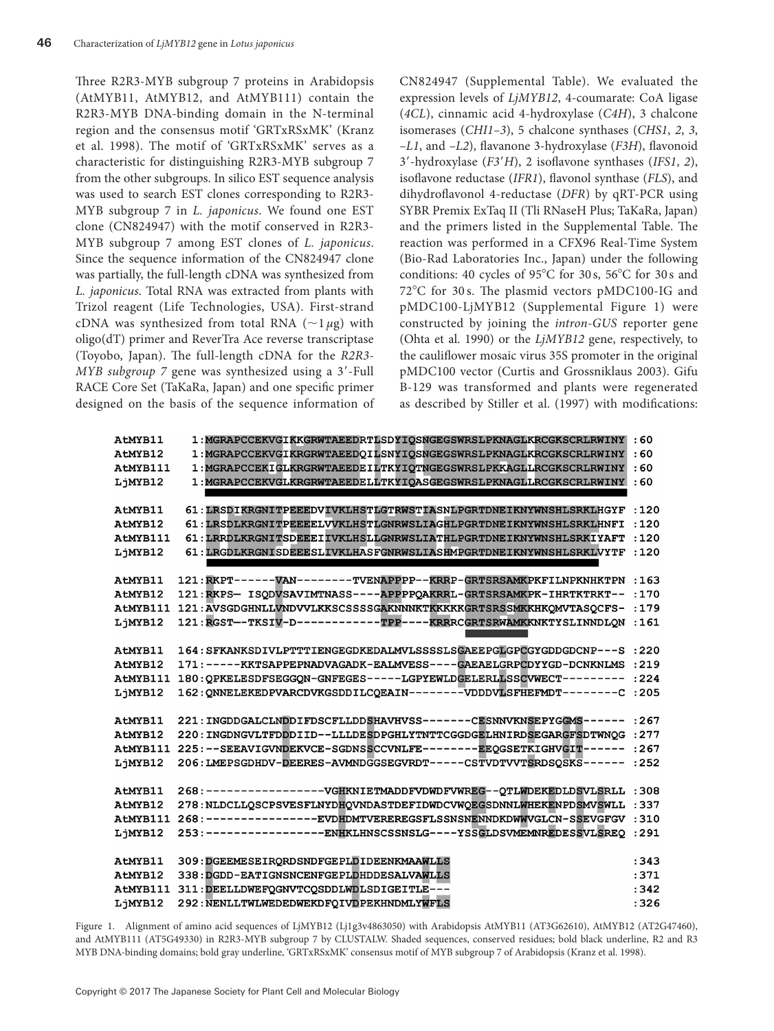Three R2R3-MYB subgroup 7 proteins in Arabidopsis (AtMYB11, AtMYB12, and AtMYB111) contain the R2R3-MYB DNA-binding domain in the N-terminal region and the consensus motif 'GRTxRSxMK' (Kranz et al. 1998). The motif of 'GRTxRSxMK' serves as a characteristic for distinguishing R2R3-MYB subgroup 7 from the other subgroups. In silico EST sequence analysis was used to search EST clones corresponding to R2R3- MYB subgroup 7 in *L. japonicus*. We found one EST clone (CN824947) with the motif conserved in R2R3- MYB subgroup 7 among EST clones of *L. japonicus*. Since the sequence information of the CN824947 clone was partially, the full-length cDNA was synthesized from *L. japonicus*. Total RNA was extracted from plants with Trizol reagent (Life Technologies, USA). First-strand cDNA was synthesized from total RNA (∼1 *µ*g) with oligo(dT) primer and ReverTra Ace reverse transcriptase (Toyobo, Japan). The full-length cDNA for the *R2R3- MYB subgroup 7* gene was synthesized using a 3′-Full RACE Core Set (TaKaRa, Japan) and one specific primer designed on the basis of the sequence information of CN824947 (Supplemental Table). We evaluated the expression levels of *LjMYB12*, 4-coumarate: CoA ligase (*4CL*), cinnamic acid 4-hydroxylase (*C4H*), 3 chalcone isomerases (*CHI1–3*), 5 chalcone synthases (*CHS1*, *2*, *3*, *–L1*, and *–L2*), flavanone 3-hydroxylase (*F3H*), flavonoid 3′-hydroxylase (*F3*′*H*), 2 isoflavone synthases (*IFS1*, *2*), isoflavone reductase (*IFR1*), flavonol synthase (*FLS*), and dihydroflavonol 4-reductase (*DFR*) by qRT-PCR using SYBR Premix ExTaq II (Tli RNaseH Plus; TaKaRa, Japan) and the primers listed in the Supplemental Table. The reaction was performed in a CFX96 Real-Time System (Bio-Rad Laboratories Inc., Japan) under the following conditions: 40 cycles of 95°C for 30 s, 56°C for 30 s and 72°C for 30 s. The plasmid vectors pMDC100-IG and pMDC100-LjMYB12 (Supplemental Figure 1) were constructed by joining the *intron-GUS* reporter gene (Ohta et al. 1990) or the *LjMYB12* gene, respectively, to the cauliflower mosaic virus 35S promoter in the original pMDC100 vector (Curtis and Grossniklaus 2003). Gifu B-129 was transformed and plants were regenerated as described by Stiller et al. (1997) with modifications:

| AtMYB11  | 1:MGRAPCCEKVGIKKGRWTAEEDRTLSDYIQSNGEGSWRSLPKNAGLKRCGKSCRLRWINY          | .60   |
|----------|-------------------------------------------------------------------------|-------|
| AtMYB12  | 1:MGRAPCCEKVGIKRGRWTAEEDQILSNYIQSNGEGSWRSLPKNAGLKRCGKSCRLRWINY          | :60   |
| AtMYB111 | 1: MGRAPCCEKIGLKRGRWTAEEDEILTKYIOTNGEGSWRSLPKKAGLLRCGKSCRLRWINY         | :60   |
| LjMYB12  | 1:MGRAPCCEKVGLKRGRWTAEEDELLTKYIQASGEGSWRSLPKNAGLLRCGKSCRLRWINY          | :60   |
|          |                                                                         |       |
| AtMYB11  | 61: LRSDIKRGNITPEEEDVIVKLHSTLGTRWSTIASNLPGRTDNEIKNYWNSHLSRKLHGYF        | :120  |
| AtMYB12  | 61: LRSDLKRGNITPEEEELVVKLHSTLGNRWSLIAGHLPGRTDNEIKNYWNSHLSRKLHNFI        | :120  |
| AtMYB111 | 61: LRRDLKRGNITSDEEEIIVKLHSLLGNRWSLIATHLPGRTDNEIKNYWNSHLSRKIYAFT        | :120  |
| LjMYB12  | 61: LRGDLKRGNISDEEESLIVKLHASFGNRWSLIASHMPGRTDNEIKNYWNSHLSRKLVYTF        | :120  |
|          |                                                                         |       |
| AtMYB11  | 121:RKPT------VAN--------TVENAPPPP--KRRP-GRTSRSAMKPKFILNPKNHKTPN: 163   |       |
| AtMYB12  | 121:RKPS- ISODVSAVIMTNASS----APPPPOAKRRL-GRTSRSAMKPK-IHRTKTRKT-- : 170  |       |
| AtMYB111 | 121: AVSGDGHNLLVNDVVLKKSCSSSSGAKNNNKTKKKKKGRTSRSSMKKHKOMVTASOCFS-: 179  |       |
| LjMYB12  | 121:RGST--TKSIV-D------------TPP----KRRRCGRTSRWAMKKNKTYSLINNDLQN : 161  |       |
|          |                                                                         |       |
| AtMYB11  | 164: SFKANKSDIVLPTTTIENGEGDKEDALMVLSSSSLSGAEEPGLGPCGYGDDGDCNP---S : 220 |       |
| AtMYB12  | 171:-----KKTSAPPEPNADVAGADK-EALMVESS----GAEAELGRPCDYYGD-DCNKNLMS:219    |       |
| AtMYB111 | 180:QPKELESDFSEGGQN-GNFEGES-----LGPYEWLDGELERLLSSCVWECT--------- : 224  |       |
| LjMYB12  | 162: QNNELEKEDPVARCDVKGSDDILCQEAIN--------VDDDVLSFHEFMDT-------C :205   |       |
|          |                                                                         |       |
| AtMYB11  | 221: INGDDGALCLNDDIFDSCFLLDDSHAVHVSS-------CESNNVKNSEPYGGMS------ : 267 |       |
| AtMYB12  | 220: INGDNGVLTFDDDIID--LLLDESDPGHLYTNTTCGGDGELHNIRDSEGARGFSDTWNQG       | : 277 |
| AtMYB111 | 225:--SEEAVIGVNDEKVCE-SGDNSSCCVNLFE-------EEQGSETKIGHVGIT------ : 267   |       |
| LjMYB12  | 206: LMEPSGDHDV-DEERES-AVMNDGGSEGVRDT-----CSTVDTVVTSRDSOSKS------ : 252 |       |
|          |                                                                         |       |
| AtMYB11  | 268:-----------------VGHKNIETMADDFVDWDFVWREG--QTLWDEKEDLDSVLSRLL :308   |       |
| AtMYB12  | 278: NLDCLLOSCPSVESFLNYDHOVNDASTDEFIDWDCVWOEGSDNNLWHEKENPDSMVSWLL       | :337  |
| AtMYB111 | 268:---------------EVDHDMTVEREREGSFLSSNSNENNDKDWWVGLCN-SSEVGFGV         | :310  |
| LjMYB12  | 253:--------------------ENHKLHNSCSSNSLG----YSSGLDSVMEMNREDESSVLSREQ     | : 291 |
|          |                                                                         |       |
| AtMYB11  | 309: DGEEMESEIRQRDSNDFGEPLDIDEENKMAAWLLS                                | :343  |
| AtMYB12  | 338: DGDD-EATIGNSNCENFGEPLDHDDESALVAWLLS                                | :371  |
| AtMYB111 | 311: DEELLDWEFQGNVTCQSDDLWDLSDIGEITLE---                                | :342  |
| LiMYB12  | 292: NENLLTWLWEDEDWEKDFQIVDPEKHNDMLYWFLS                                | :326  |

Figure 1. Alignment of amino acid sequences of LjMYB12 (Lj1g3v4863050) with Arabidopsis AtMYB11 (AT3G62610), AtMYB12 (AT2G47460), and AtMYB111 (AT5G49330) in R2R3-MYB subgroup 7 by CLUSTALW. Shaded sequences, conserved residues; bold black underline, R2 and R3 MYB DNA-binding domains; bold gray underline, 'GRTxRSxMK' consensus motif of MYB subgroup 7 of Arabidopsis (Kranz et al. 1998).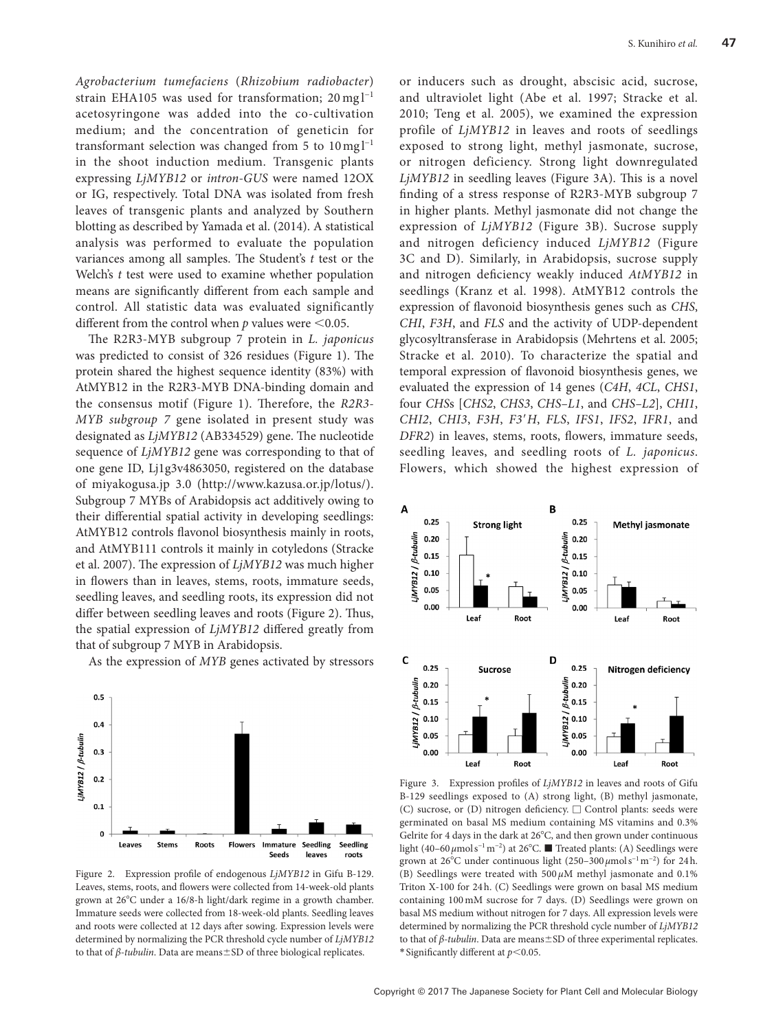*Agrobacterium tumefaciens* (*Rhizobium radiobacter*) strain EHA105 was used for transformation;  $20 \text{ mg} l^{-1}$ acetosyringone was added into the co-cultivation medium; and the concentration of geneticin for transformant selection was changed from 5 to  $10 \,\mathrm{mgl^{-1}}$ in the shoot induction medium. Transgenic plants expressing *LjMYB12* or *intron-GUS* were named 12OX or IG, respectively. Total DNA was isolated from fresh leaves of transgenic plants and analyzed by Southern blotting as described by Yamada et al. (2014). A statistical analysis was performed to evaluate the population variances among all samples. The Student's *t* test or the Welch's *t* test were used to examine whether population means are significantly different from each sample and control. All statistic data was evaluated significantly different from the control when  $p$  values were  $\leq 0.05$ .

The R2R3-MYB subgroup 7 protein in *L. japonicus* was predicted to consist of 326 residues (Figure 1). The protein shared the highest sequence identity (83%) with AtMYB12 in the R2R3-MYB DNA-binding domain and the consensus motif (Figure 1). Therefore, the *R2R3- MYB subgroup 7* gene isolated in present study was designated as *LjMYB12* (AB334529) gene. The nucleotide sequence of *LjMYB12* gene was corresponding to that of one gene ID, Lj1g3v4863050, registered on the database of miyakogusa.jp 3.0 (http://www.kazusa.or.jp/lotus/). Subgroup 7 MYBs of Arabidopsis act additively owing to their differential spatial activity in developing seedlings: AtMYB12 controls flavonol biosynthesis mainly in roots, and AtMYB111 controls it mainly in cotyledons (Stracke et al. 2007). The expression of *LjMYB12* was much higher in flowers than in leaves, stems, roots, immature seeds, seedling leaves, and seedling roots, its expression did not differ between seedling leaves and roots (Figure 2). Thus, the spatial expression of *LjMYB12* differed greatly from that of subgroup 7 MYB in Arabidopsis.

As the expression of *MYB* genes activated by stressors



Figure 2. Expression profile of endogenous *LjMYB12* in Gifu B-129. Leaves, stems, roots, and flowers were collected from 14-week-old plants grown at 26°C under a 16/8-h light/dark regime in a growth chamber. Immature seeds were collected from 18-week-old plants. Seedling leaves and roots were collected at 12 days after sowing. Expression levels were determined by normalizing the PCR threshold cycle number of *LjMYB12* to that of *β-tubulin*. Data are means±SD of three biological replicates.

or inducers such as drought, abscisic acid, sucrose, and ultraviolet light (Abe et al. 1997; Stracke et al. 2010; Teng et al. 2005), we examined the expression profile of *LjMYB12* in leaves and roots of seedlings exposed to strong light, methyl jasmonate, sucrose, or nitrogen deficiency. Strong light downregulated *LjMYB12* in seedling leaves (Figure 3A). This is a novel finding of a stress response of R2R3-MYB subgroup 7 in higher plants. Methyl jasmonate did not change the expression of *LjMYB12* (Figure 3B). Sucrose supply and nitrogen deficiency induced *LjMYB12* (Figure 3C and D). Similarly, in Arabidopsis, sucrose supply and nitrogen deficiency weakly induced *AtMYB12* in seedlings (Kranz et al. 1998). AtMYB12 controls the expression of flavonoid biosynthesis genes such as *CHS*, *CHI*, *F3H*, and *FLS* and the activity of UDP-dependent glycosyltransferase in Arabidopsis (Mehrtens et al. 2005; Stracke et al. 2010). To characterize the spatial and temporal expression of flavonoid biosynthesis genes, we evaluated the expression of 14 genes (*C4H*, *4CL*, *CHS1*, four *CHS*s [*CHS2*, *CHS3*, *CHS–L1*, and *CHS–L2*], *CHI1*, *CHI2*, *CHI3*, *F3H*, *F3*′*H*, *FLS*, *IFS1*, *IFS2*, *IFR1*, and *DFR2*) in leaves, stems, roots, flowers, immature seeds, seedling leaves, and seedling roots of *L. japonicus*. Flowers, which showed the highest expression of



Figure 3. Expression profiles of *LjMYB12* in leaves and roots of Gifu B-129 seedlings exposed to (A) strong light, (B) methyl jasmonate, (C) sucrose, or (D) nitrogen deficiency. □ Control plants: seeds were germinated on basal MS medium containing MS vitamins and 0.3% Gelrite for 4 days in the dark at 26°C, and then grown under continuous light (40–60*µ*mols −1m−2) at 26°C. ■ Treated plants: (A) Seedlings were grown at 26<sup>°</sup>C under continuous light (250–300 μmols<sup>-1</sup> m<sup>-2</sup>) for 24 h. (B) Seedlings were treated with 500 *µ*M methyl jasmonate and 0.1% Triton X-100 for 24h. (C) Seedlings were grown on basal MS medium containing 100 mM sucrose for 7 days. (D) Seedlings were grown on basal MS medium without nitrogen for 7 days. All expression levels were determined by normalizing the PCR threshold cycle number of *LjMYB12* to that of *β-tubulin*. Data are means±SD of three experimental replicates. \*Significantly different at *p*<0.05.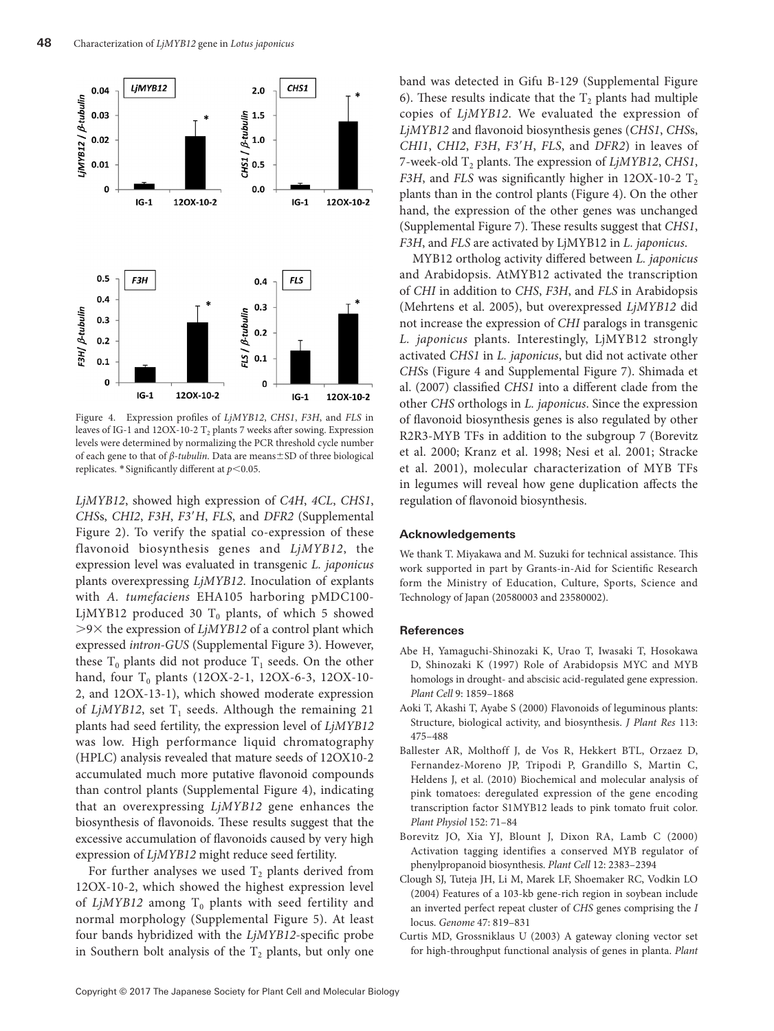

Figure 4. Expression profiles of *LjMYB12*, *CHS1*, *F3H*, and *FLS* in leaves of IG-1 and 12OX-10-2  $T_2$  plants 7 weeks after sowing. Expression levels were determined by normalizing the PCR threshold cycle number of each gene to that of *β-tubulin*. Data are means±SD of three biological replicates. \* Significantly different at *p*<0.05.

*LjMYB12*, showed high expression of *C4H*, *4CL*, *CHS1*, *CHS*s, *CHI2*, *F3H*, *F3*′*H*, *FLS*, and *DFR2* (Supplemental Figure 2). To verify the spatial co-expression of these flavonoid biosynthesis genes and *LjMYB12*, the expression level was evaluated in transgenic *L. japonicus* plants overexpressing *LjMYB12*. Inoculation of explants with *A. tumefaciens* EHA105 harboring pMDC100- LjMYB12 produced 30  $T_0$  plants, of which 5 showed >9× the expression of *LjMYB12* of a control plant which expressed *intron-GUS* (Supplemental Figure 3). However, these  $T_0$  plants did not produce  $T_1$  seeds. On the other hand, four  $T_0$  plants (12OX-2-1, 12OX-6-3, 12OX-10-2, and 12OX-13-1), which showed moderate expression of  $L<sub>j</sub>MYB12$ , set T<sub>1</sub> seeds. Although the remaining 21 plants had seed fertility, the expression level of *LjMYB12* was low. High performance liquid chromatography (HPLC) analysis revealed that mature seeds of 12OX10-2 accumulated much more putative flavonoid compounds than control plants (Supplemental Figure 4), indicating that an overexpressing *LjMYB12* gene enhances the biosynthesis of flavonoids. These results suggest that the excessive accumulation of flavonoids caused by very high expression of *LjMYB12* might reduce seed fertility.

For further analyses we used  $T_2$  plants derived from 12OX-10-2, which showed the highest expression level of  $L<sub>j</sub>MYB12$  among T<sub>0</sub> plants with seed fertility and normal morphology (Supplemental Figure 5). At least four bands hybridized with the *LjMYB12*-specific probe in Southern bolt analysis of the  $T_2$  plants, but only one band was detected in Gifu B-129 (Supplemental Figure 6). These results indicate that the  $T_2$  plants had multiple copies of *LjMYB12*. We evaluated the expression of *LjMYB12* and flavonoid biosynthesis genes (*CHS1*, *CHS*s, *CHI1*, *CHI2*, *F3H*, *F3*′*H*, *FLS*, and *DFR2*) in leaves of 7-week-old T<sub>2</sub> plants. The expression of *LjMYB12*, *CHS1*, *F3H*, and *FLS* was significantly higher in 12OX-10-2  $T_2$ plants than in the control plants (Figure 4). On the other hand, the expression of the other genes was unchanged (Supplemental Figure 7). These results suggest that *CHS1*, *F3H*, and *FLS* are activated by LjMYB12 in *L. japonicus*.

MYB12 ortholog activity differed between *L. japonicus* and Arabidopsis. AtMYB12 activated the transcription of *CHI* in addition to *CHS*, *F3H*, and *FLS* in Arabidopsis (Mehrtens et al. 2005), but overexpressed *LjMYB12* did not increase the expression of *CHI* paralogs in transgenic *L. japonicus* plants. Interestingly, LjMYB12 strongly activated *CHS1* in *L. japonicus*, but did not activate other *CHS*s (Figure 4 and Supplemental Figure 7). Shimada et al. (2007) classified *CHS1* into a different clade from the other *CHS* orthologs in *L. japonicus*. Since the expression of flavonoid biosynthesis genes is also regulated by other R2R3-MYB TFs in addition to the subgroup 7 (Borevitz et al. 2000; Kranz et al. 1998; Nesi et al. 2001; Stracke et al. 2001), molecular characterization of MYB TFs in legumes will reveal how gene duplication affects the regulation of flavonoid biosynthesis.

## **Acknowledgements**

We thank T. Miyakawa and M. Suzuki for technical assistance. This work supported in part by Grants-in-Aid for Scientific Research form the Ministry of Education, Culture, Sports, Science and Technology of Japan (20580003 and 23580002).

## **References**

- Abe H, Yamaguchi-Shinozaki K, Urao T, Iwasaki T, Hosokawa D, Shinozaki K (1997) Role of Arabidopsis MYC and MYB homologs in drought- and abscisic acid-regulated gene expression. *Plant Cell* 9: 1859–1868
- [Aoki T, Akashi T, Ayabe S \(2000\) Flavonoids of leguminous plants:](http://dx.doi.org/10.1007/PL00013958) [Structure, biological activity, and biosynthesis.](http://dx.doi.org/10.1007/PL00013958) *J Plant Res* 113: [475–488](http://dx.doi.org/10.1007/PL00013958)
- [Ballester AR, Molthoff J, de Vos R, Hekkert BTL, Orzaez D,](http://dx.doi.org/10.1104/pp.109.147322) [Fernandez-Moreno JP, Tripodi P, Grandillo S, Martin C,](http://dx.doi.org/10.1104/pp.109.147322) [Heldens J, et al. \(2010\) Biochemical and molecular analysis of](http://dx.doi.org/10.1104/pp.109.147322) [pink tomatoes: deregulated expression of the gene encoding](http://dx.doi.org/10.1104/pp.109.147322) [transcription factor S1MYB12 leads to pink tomato fruit color.](http://dx.doi.org/10.1104/pp.109.147322)  *[Plant Physiol](http://dx.doi.org/10.1104/pp.109.147322)* 152: 71–84
- [Borevitz JO, Xia YJ, Blount J, Dixon RA, Lamb C \(2000\)](http://dx.doi.org/10.1105/tpc.12.12.2383) [Activation tagging identifies a conserved MYB regulator of](http://dx.doi.org/10.1105/tpc.12.12.2383) [phenylpropanoid biosynthesis.](http://dx.doi.org/10.1105/tpc.12.12.2383) *Plant Cell* 12: 2383–2394
- [Clough SJ, Tuteja JH, Li M, Marek LF, Shoemaker RC, Vodkin LO](http://dx.doi.org/10.1139/g04-049) [\(2004\) Features of a 103-kb gene-rich region in soybean include](http://dx.doi.org/10.1139/g04-049) [an inverted perfect repeat cluster of](http://dx.doi.org/10.1139/g04-049) *CHS* genes comprising the *I* locus. *Genome* [47: 819–831](http://dx.doi.org/10.1139/g04-049)
- [Curtis MD, Grossniklaus U \(2003\) A gateway cloning vector set](http://dx.doi.org/10.1104/pp.103.027979) [for high-throughput functional analysis of genes in planta.](http://dx.doi.org/10.1104/pp.103.027979) *Plant*